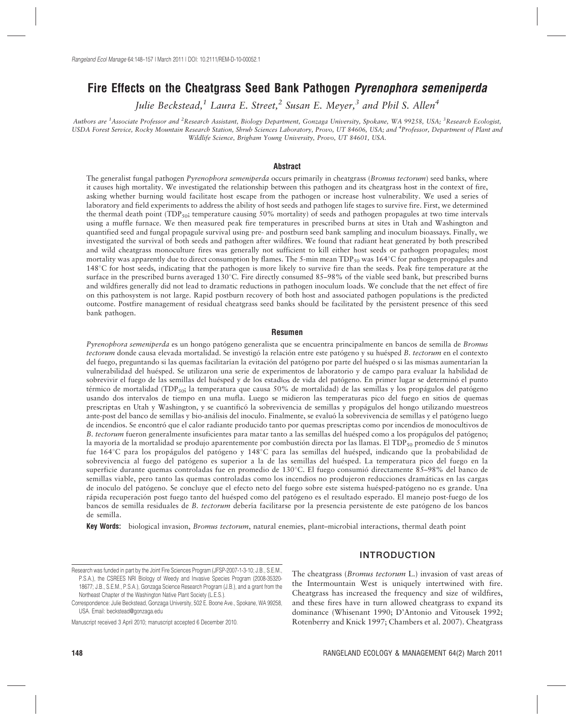# Fire Effects on the Cheatgrass Seed Bank Pathogen Pyrenophora semeniperda

Julie Beckstead,<sup>1</sup> Laura E. Street,<sup>2</sup> Susan E. Meyer,<sup>3</sup> and Phil S. Allen<sup>4</sup>

Authors are <sup>1</sup>Associate Professor and <sup>2</sup>Research Assistant, Biology Department, Gonzaga University, Spokane, WA 99258, USA; <sup>3</sup>Research Ecologist, USDA Forest Service, Rocky Mountain Research Station, Shrub Sciences Laboratory, Provo, UT 84606, USA; and <sup>4</sup> Professor, Department of Plant and Wildlife Science, Brigham Young University, Provo, UT 84601, USA.

#### Abstract

The generalist fungal pathogen *Pyrenophora semeniperda* occurs primarily in cheatgrass (*Bromus tectorum*) seed banks, where it causes high mortality. We investigated the relationship between this pathogen and its cheatgrass host in the context of fire, asking whether burning would facilitate host escape from the pathogen or increase host vulnerability. We used a series of laboratory and field experiments to address the ability of host seeds and pathogen life stages to survive fire. First, we determined the thermal death point ( $TDP<sub>50</sub>$ ; temperature causing 50% mortality) of seeds and pathogen propagules at two time intervals using a muffle furnace. We then measured peak fire temperatures in prescribed burns at sites in Utah and Washington and quantified seed and fungal propagule survival using pre- and postburn seed bank sampling and inoculum bioassays. Finally, we investigated the survival of both seeds and pathogen after wildfires. We found that radiant heat generated by both prescribed and wild cheatgrass monoculture fires was generally not sufficient to kill either host seeds or pathogen propagules; most mortality was apparently due to direct consumption by flames. The 5-min mean  $TDP_{50}$  was  $164^{\circ}C$  for pathogen propagules and  $148^{\circ}$ C for host seeds, indicating that the pathogen is more likely to survive fire than the seeds. Peak fire temperature at the surface in the prescribed burns averaged  $130^{\circ}$ C. Fire directly consumed 85–98% of the viable seed bank, but prescribed burns and wildfires generally did not lead to dramatic reductions in pathogen inoculum loads. We conclude that the net effect of fire on this pathosystem is not large. Rapid postburn recovery of both host and associated pathogen populations is the predicted outcome. Postfire management of residual cheatgrass seed banks should be facilitated by the persistent presence of this seed bank pathogen.

#### Resumen

Pyrenophora semeniperda es un hongo patógeno generalista que se encuentra principalmente en bancos de semilla de Bromus tectorum donde causa elevada mortalidad. Se investigó la relación entre este patógeno y su huésped B. tectorum en el contexto del fuego, preguntando si las quemas facilitarían la evitación del patógeno por parte del huésped o si las mismas aumentarían la vulnerabilidad del hue´sped. Se utilizaron una serie de experimentos de laboratorio y de campo para evaluar la habilidad de sobrevivir el fuego de las semillas del huésped y de los estadíos de vida del patógeno. En primer lugar se determinó el punto térmico de mortalidad (TDP<sub>50</sub>; la temperatura que causa 50% de mortalidad) de las semillas y los propágulos del patógeno usando dos intervalos de tiempo en una mufla. Luego se midieron las temperaturas pico del fuego en sitios de quemas prescriptas en Utah y Washington, y se cuantifico´ la sobrevivencia de semillas y propa´gulos del hongo utilizando muestreos ante-post del banco de semillas y bio-análisis del inoculo. Finalmente, se evaluó la sobrevivencia de semillas y el patógeno luego de incendios. Se encontró que el calor radiante producido tanto por quemas prescriptas como por incendios de monocultivos de B. tectorum fueron generalmente insuficientes para matar tanto a las semillas del huésped como a los propágulos del patógeno; la mayoría de la mortalidad se produjo aparentemente por combustión directa por las llamas. El TDP $_{50}$  promedio de 5 minutos fue 164<sup>°</sup>C para los propágulos del patógeno y 148<sup>°</sup>C para las semillas del huésped, indicando que la probabilidad de sobrevivencia al fuego del patógeno es superior a la de las semillas del huésped. La temperatura pico del fuego en la superficie durante quemas controladas fue en promedio de 130°C. El fuego consumió directamente 85–98% del banco de semillas viable, pero tanto las quemas controladas como los incendios no produjeron reducciones drama´ticas en las cargas de inoculo del patógeno. Se concluye que el efecto neto del fuego sobre este sistema huésped-patógeno no es grande. Una rápida recuperación post fuego tanto del huésped como del patógeno es el resultado esperado. El manejo post-fuego de los bancos de semilla residuales de B. tectorum debería facilitarse por la presencia persistente de este patógeno de los bancos de semilla.

Key Words: biological invasion, Bromus tectorum, natural enemies, plant–microbial interactions, thermal death point

#### INTRODUCTION

The cheatgrass (*Bromus tectorum L*.) invasion of vast areas of

the Intermountain West is uniquely intertwined with fire. Cheatgrass has increased the frequency and size of wildfires, and these fires have in turn allowed cheatgrass to expand its dominance (Whisenant 1990; D'Antonio and Vitousek 1992; Rotenberry and Knick 1997; Chambers et al. 2007). Cheatgrass

Research was funded in part by the Joint Fire Sciences Program (JFSP-2007-1-3-10; J.B., S.E.M., P.S.A.), the CSREES NRI Biology of Weedy and Invasive Species Program (2008-35320- 18677; J.B., S.E.M., P.S.A.), Gonzaga Science Research Program (J.B.), and a grant from the Northeast Chapter of the Washington Native Plant Society (L.E.S.).

Correspondence: Julie Beckstead, Gonzaga University, 502 E. Boone Ave., Spokane, WA 99258, USA. Email: beckstead@gonzaga.edu

Manuscript received 3 April 2010; manuscript accepted 6 December 2010.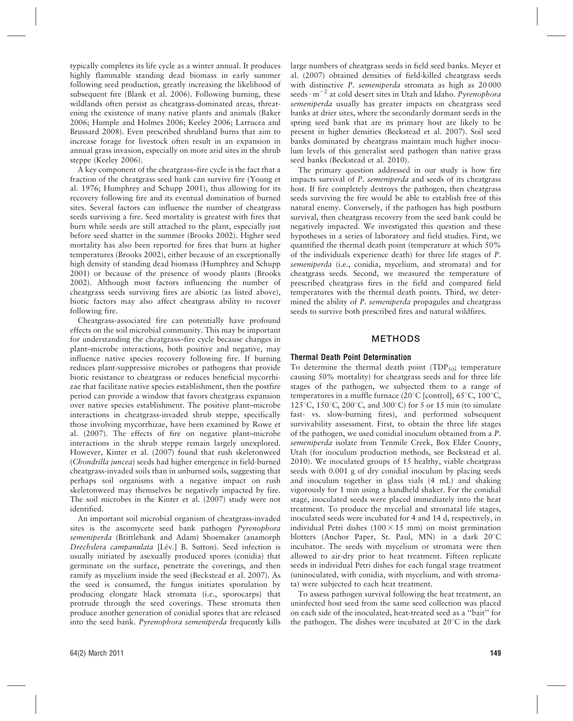typically completes its life cycle as a winter annual. It produces highly flammable standing dead biomass in early summer following seed production, greatly increasing the likelihood of subsequent fire (Blank et al. 2006). Following burning, these wildlands often persist as cheatgrass-dominated areas, threatening the existence of many native plants and animals (Baker 2006; Humple and Holmes 2006; Keeley 2006; Larrucea and Brussard 2008). Even prescribed shrubland burns that aim to increase forage for livestock often result in an expansion in annual grass invasion, especially on more arid sites in the shrub steppe (Keeley 2006).

A key component of the cheatgrass–fire cycle is the fact that a fraction of the cheatgrass seed bank can survive fire (Young et al. 1976; Humphrey and Schupp 2001), thus allowing for its recovery following fire and its eventual domination of burned sites. Several factors can influence the number of cheatgrass seeds surviving a fire. Seed mortality is greatest with fires that burn while seeds are still attached to the plant, especially just before seed shatter in the summer (Brooks 2002). Higher seed mortality has also been reported for fires that burn at higher temperatures (Brooks 2002), either because of an exceptionally high density of standing dead biomass (Humphrey and Schupp 2001) or because of the presence of woody plants (Brooks 2002). Although most factors influencing the number of cheatgrass seeds surviving fires are abiotic (as listed above), biotic factors may also affect cheatgrass ability to recover following fire.

Cheatgrass-associated fire can potentially have profound effects on the soil microbial community. This may be important for understanding the cheatgrass–fire cycle because changes in plant–microbe interactions, both positive and negative, may influence native species recovery following fire. If burning reduces plant-suppressive microbes or pathogens that provide biotic resistance to cheatgrass or reduces beneficial mycorrhizae that facilitate native species establishment, then the postfire period can provide a window that favors cheatgrass expansion over native species establishment. The positive plant–microbe interactions in cheatgrass-invaded shrub steppe, specifically those involving mycorrhizae, have been examined by Rowe et al. (2007). The effects of fire on negative plant–microbe interactions in the shrub steppe remain largely unexplored. However, Kinter et al. (2007) found that rush skeletonweed (Chondrilla juncea) seeds had higher emergence in field-burned cheatgrass-invaded soils than in unburned soils, suggesting that perhaps soil organisms with a negative impact on rush skeletonweed may themselves be negatively impacted by fire. The soil microbes in the Kinter et al. (2007) study were not identified.

An important soil microbial organism of cheatgrass-invaded sites is the ascomycete seed bank pathogen Pyrenophora semeniperda (Brittlebank and Adam) Shoemaker (anamorph Drechslera campanulata [Lév.] B. Sutton). Seed infection is usually initiated by asexually produced spores (conidia) that germinate on the surface, penetrate the coverings, and then ramify as mycelium inside the seed (Beckstead et al. 2007). As the seed is consumed, the fungus initiates sporulation by producing elongate black stromata (i.e., sporocarps) that protrude through the seed coverings. These stromata then produce another generation of conidial spores that are released into the seed bank. Pyrenophora semeniperda frequently kills

64(2) March 2011 **149** 

large numbers of cheatgrass seeds in field seed banks. Meyer et al. (2007) obtained densities of field-killed cheatgrass seeds with distinctive P. semeniperda stromata as high as 20 000 seeds $\cdot$  m<sup>-2</sup> at cold desert sites in Utah and Idaho. Pyrenophora semeniperda usually has greater impacts on cheatgrass seed banks at drier sites, where the secondarily dormant seeds in the spring seed bank that are its primary host are likely to be present in higher densities (Beckstead et al. 2007). Soil seed banks dominated by cheatgrass maintain much higher inoculum levels of this generalist seed pathogen than native grass seed banks (Beckstead et al. 2010).

The primary question addressed in our study is how fire impacts survival of P. semeniperda and seeds of its cheatgrass host. If fire completely destroys the pathogen, then cheatgrass seeds surviving the fire would be able to establish free of this natural enemy. Conversely, if the pathogen has high postburn survival, then cheatgrass recovery from the seed bank could be negatively impacted. We investigated this question and these hypotheses in a series of laboratory and field studies. First, we quantified the thermal death point (temperature at which 50% of the individuals experience death) for three life stages of P. semeniperda (i.e., conidia, mycelium, and stromata) and for cheatgrass seeds. Second, we measured the temperature of prescribed cheatgrass fires in the field and compared field temperatures with the thermal death points. Third, we determined the ability of P. semeniperda propagules and cheatgrass seeds to survive both prescribed fires and natural wildfires.

## METHODS

## Thermal Death Point Determination

To determine the thermal death point  $(TDP<sub>50</sub>; temperature)$ causing 50% mortality) for cheatgrass seeds and for three life stages of the pathogen, we subjected them to a range of temperatures in a muffle furnace (20 $^{\circ}$ C [control], 65 $^{\circ}$ C, 100 $^{\circ}$ C, 125 $\degree$ C, 150 $\degree$ C, 200 $\degree$ C, and 300 $\degree$ C) for 5 or 15 min (to simulate fast- vs. slow-burning fires), and performed subsequent survivability assessment. First, to obtain the three life stages of the pathogen, we used conidial inoculum obtained from a P. semeniperda isolate from Tenmile Creek, Box Elder County, Utah (for inoculum production methods, see Beckstead et al. 2010). We inoculated groups of 15 healthy, viable cheatgrass seeds with 0.001 g of dry conidial inoculum by placing seeds and inoculum together in glass vials (4 mL) and shaking vigorously for 1 min using a handheld shaker. For the conidial stage, inoculated seeds were placed immediately into the heat treatment. To produce the mycelial and stromatal life stages, inoculated seeds were incubated for 4 and 14 d, respectively, in individual Petri dishes  $(100 \times 15 \text{ mm})$  on moist germination blotters (Anchor Paper, St. Paul, MN) in a dark  $20^{\circ}$ C incubator. The seeds with mycelium or stromata were then allowed to air-dry prior to heat treatment. Fifteen replicate seeds in individual Petri dishes for each fungal stage treatment (uninoculated, with conidia, with mycelium, and with stromata) were subjected to each heat treatment.

To assess pathogen survival following the heat treatment, an uninfected host seed from the same seed collection was placed on each side of the inoculated, heat-treated seed as a ''bait'' for the pathogen. The dishes were incubated at  $20^{\circ}$ C in the dark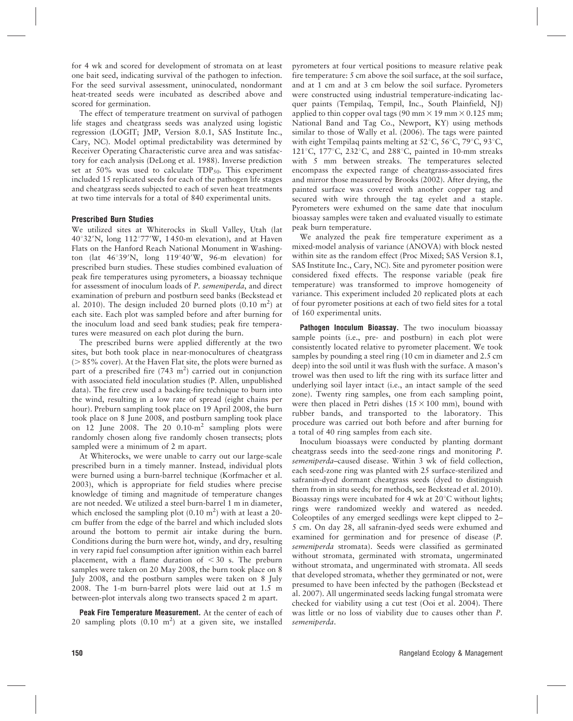for 4 wk and scored for development of stromata on at least one bait seed, indicating survival of the pathogen to infection. For the seed survival assessment, uninoculated, nondormant heat-treated seeds were incubated as described above and scored for germination.

The effect of temperature treatment on survival of pathogen life stages and cheatgrass seeds was analyzed using logistic regression (LOGIT; JMP, Version 8.0.1, SAS Institute Inc., Cary, NC). Model optimal predictability was determined by Receiver Operating Characteristic curve area and was satisfactory for each analysis (DeLong et al. 1988). Inverse prediction set at 50% was used to calculate  $TDP_{50}$ . This experiment included 15 replicated seeds for each of the pathogen life stages and cheatgrass seeds subjected to each of seven heat treatments at two time intervals for a total of 840 experimental units.

## Prescribed Burn Studies

We utilized sites at Whiterocks in Skull Valley, Utah (lat  $40^{\circ}32^{\prime}$ N, long  $112^{\circ}77^{\prime}$ W, 1450-m elevation), and at Haven Flats on the Hanford Reach National Monument in Washington (lat  $46^{\circ}39^{\prime}$ N, long  $119^{\circ}40^{\prime}$ W, 96-m elevation) for prescribed burn studies. These studies combined evaluation of peak fire temperatures using pyrometers, a bioassay technique for assessment of inoculum loads of P. semeniperda, and direct examination of preburn and postburn seed banks (Beckstead et al. 2010). The design included 20 burned plots  $(0.10 \text{ m}^2)$  at each site. Each plot was sampled before and after burning for the inoculum load and seed bank studies; peak fire temperatures were measured on each plot during the burn.

The prescribed burns were applied differently at the two sites, but both took place in near-monocultures of cheatgrass  $($  > 85% cover). At the Haven Flat site, the plots were burned as part of a prescribed fire (743  $m<sup>2</sup>$ ) carried out in conjunction with associated field inoculation studies (P. Allen, unpublished data). The fire crew used a backing-fire technique to burn into the wind, resulting in a low rate of spread (eight chains per hour). Preburn sampling took place on 19 April 2008, the burn took place on 8 June 2008, and postburn sampling took place on 12 June 2008. The 20  $0.10\text{-m}^2$  sampling plots were randomly chosen along five randomly chosen transects; plots sampled were a minimum of 2 m apart.

At Whiterocks, we were unable to carry out our large-scale prescribed burn in a timely manner. Instead, individual plots were burned using a burn-barrel technique (Korfmacher et al. 2003), which is appropriate for field studies where precise knowledge of timing and magnitude of temperature changes are not needed. We utilized a steel burn-barrel 1 m in diameter, which enclosed the sampling plot  $(0.10 \text{ m}^2)$  with at least a 20cm buffer from the edge of the barrel and which included slots around the bottom to permit air intake during the burn. Conditions during the burn were hot, windy, and dry, resulting in very rapid fuel consumption after ignition within each barrel placement, with a flame duration of  $<$  30 s. The preburn samples were taken on 20 May 2008, the burn took place on 8 July 2008, and the postburn samples were taken on 8 July 2008. The 1-m burn-barrel plots were laid out at 1.5 m between-plot intervals along two transects spaced 2 m apart.

Peak Fire Temperature Measurement. At the center of each of 20 sampling plots  $(0.10 \text{ m}^2)$  at a given site, we installed

pyrometers at four vertical positions to measure relative peak fire temperature: 5 cm above the soil surface, at the soil surface, and at 1 cm and at 3 cm below the soil surface. Pyrometers were constructed using industrial temperature-indicating lacquer paints (Tempilaq, Tempil, Inc., South Plainfield, NJ) applied to thin copper oval tags (90 mm  $\times$  19 mm  $\times$  0.125 mm; National Band and Tag Co., Newport, KY) using methods similar to those of Wally et al. (2006). The tags were painted with eight Tempilaq paints melting at  $52^{\circ}$ C,  $56^{\circ}$ C,  $79^{\circ}$ C,  $93^{\circ}$ C, 121°C, 177°C, 232°C, and 288°C, painted in 10-mm streaks with 5 mm between streaks. The temperatures selected encompass the expected range of cheatgrass-associated fires and mirror those measured by Brooks (2002). After drying, the painted surface was covered with another copper tag and secured with wire through the tag eyelet and a staple. Pyrometers were exhumed on the same date that inoculum bioassay samples were taken and evaluated visually to estimate peak burn temperature.

We analyzed the peak fire temperature experiment as a mixed-model analysis of variance (ANOVA) with block nested within site as the random effect (Proc Mixed; SAS Version 8.1, SAS Institute Inc., Cary, NC). Site and pyrometer position were considered fixed effects. The response variable (peak fire temperature) was transformed to improve homogeneity of variance. This experiment included 20 replicated plots at each of four pyrometer positions at each of two field sites for a total of 160 experimental units.

Pathogen Inoculum Bioassay. The two inoculum bioassay sample points (i.e., pre- and postburn) in each plot were consistently located relative to pyrometer placement. We took samples by pounding a steel ring (10 cm in diameter and 2.5 cm deep) into the soil until it was flush with the surface. A mason's trowel was then used to lift the ring with its surface litter and underlying soil layer intact (i.e., an intact sample of the seed zone). Twenty ring samples, one from each sampling point, were then placed in Petri dishes  $(15 \times 100 \text{ mm})$ , bound with rubber bands, and transported to the laboratory. This procedure was carried out both before and after burning for a total of 40 ring samples from each site.

Inoculum bioassays were conducted by planting dormant cheatgrass seeds into the seed-zone rings and monitoring P. semeniperda–caused disease. Within 3 wk of field collection, each seed-zone ring was planted with 25 surface-sterilized and safranin-dyed dormant cheatgrass seeds (dyed to distinguish them from in situ seeds; for methods, see Beckstead et al. 2010). Bioassay rings were incubated for 4 wk at  $20^{\circ}$ C without lights; rings were randomized weekly and watered as needed. Coleoptiles of any emerged seedlings were kept clipped to 2– 5 cm. On day 28, all safranin-dyed seeds were exhumed and examined for germination and for presence of disease (P. semeniperda stromata). Seeds were classified as germinated without stromata, germinated with stromata, ungerminated without stromata, and ungerminated with stromata. All seeds that developed stromata, whether they germinated or not, were presumed to have been infected by the pathogen (Beckstead et al. 2007). All ungerminated seeds lacking fungal stromata were checked for viability using a cut test (Ooi et al. 2004). There was little or no loss of viability due to causes other than P. semeniperda.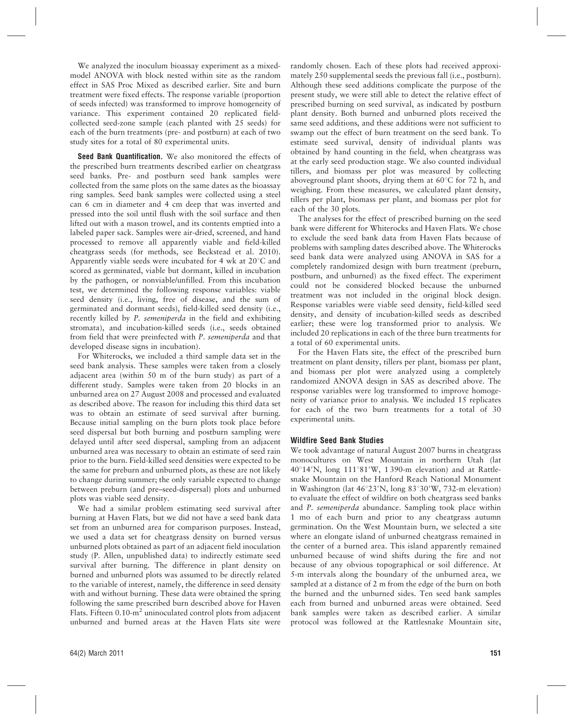We analyzed the inoculum bioassay experiment as a mixedmodel ANOVA with block nested within site as the random effect in SAS Proc Mixed as described earlier. Site and burn treatment were fixed effects. The response variable (proportion of seeds infected) was transformed to improve homogeneity of variance. This experiment contained 20 replicated fieldcollected seed-zone sample (each planted with 25 seeds) for each of the burn treatments (pre- and postburn) at each of two study sites for a total of 80 experimental units.

Seed Bank Quantification. We also monitored the effects of the prescribed burn treatments described earlier on cheatgrass seed banks. Pre- and postburn seed bank samples were collected from the same plots on the same dates as the bioassay ring samples. Seed bank samples were collected using a steel can 6 cm in diameter and 4 cm deep that was inverted and pressed into the soil until flush with the soil surface and then lifted out with a mason trowel, and its contents emptied into a labeled paper sack. Samples were air-dried, screened, and hand processed to remove all apparently viable and field-killed cheatgrass seeds (for methods, see Beckstead et al. 2010). Apparently viable seeds were incubated for 4 wk at  $20^{\circ}$ C and scored as germinated, viable but dormant, killed in incubation by the pathogen, or nonviable/unfilled. From this incubation test, we determined the following response variables: viable seed density (i.e., living, free of disease, and the sum of germinated and dormant seeds), field-killed seed density (i.e., recently killed by P. semeniperda in the field and exhibiting stromata), and incubation-killed seeds (i.e., seeds obtained from field that were preinfected with P. semeniperda and that developed disease signs in incubation).

For Whiterocks, we included a third sample data set in the seed bank analysis. These samples were taken from a closely adjacent area (within 50 m of the burn study) as part of a different study. Samples were taken from 20 blocks in an unburned area on 27 August 2008 and processed and evaluated as described above. The reason for including this third data set was to obtain an estimate of seed survival after burning. Because initial sampling on the burn plots took place before seed dispersal but both burning and postburn sampling were delayed until after seed dispersal, sampling from an adjacent unburned area was necessary to obtain an estimate of seed rain prior to the burn. Field-killed seed densities were expected to be the same for preburn and unburned plots, as these are not likely to change during summer; the only variable expected to change between preburn (and pre–seed-dispersal) plots and unburned plots was viable seed density.

We had a similar problem estimating seed survival after burning at Haven Flats, but we did not have a seed bank data set from an unburned area for comparison purposes. Instead, we used a data set for cheatgrass density on burned versus unburned plots obtained as part of an adjacent field inoculation study (P. Allen, unpublished data) to indirectly estimate seed survival after burning. The difference in plant density on burned and unburned plots was assumed to be directly related to the variable of interest, namely, the difference in seed density with and without burning. These data were obtained the spring following the same prescribed burn described above for Haven Flats. Fifteen  $0.10 \text{ m}^2$  uninoculated control plots from adjacent unburned and burned areas at the Haven Flats site were

randomly chosen. Each of these plots had received approximately 250 supplemental seeds the previous fall (i.e., postburn). Although these seed additions complicate the purpose of the present study, we were still able to detect the relative effect of prescribed burning on seed survival, as indicated by postburn plant density. Both burned and unburned plots received the same seed additions, and these additions were not sufficient to swamp out the effect of burn treatment on the seed bank. To estimate seed survival, density of individual plants was obtained by hand counting in the field, when cheatgrass was at the early seed production stage. We also counted individual tillers, and biomass per plot was measured by collecting aboveground plant shoots, drying them at  $60^{\circ}$ C for 72 h, and weighing. From these measures, we calculated plant density, tillers per plant, biomass per plant, and biomass per plot for each of the 30 plots.

The analyses for the effect of prescribed burning on the seed bank were different for Whiterocks and Haven Flats. We chose to exclude the seed bank data from Haven Flats because of problems with sampling dates described above. The Whiterocks seed bank data were analyzed using ANOVA in SAS for a completely randomized design with burn treatment (preburn, postburn, and unburned) as the fixed effect. The experiment could not be considered blocked because the unburned treatment was not included in the original block design. Response variables were viable seed density, field-killed seed density, and density of incubation-killed seeds as described earlier; these were log transformed prior to analysis. We included 20 replications in each of the three burn treatments for a total of 60 experimental units.

For the Haven Flats site, the effect of the prescribed burn treatment on plant density, tillers per plant, biomass per plant, and biomass per plot were analyzed using a completely randomized ANOVA design in SAS as described above. The response variables were log transformed to improve homogeneity of variance prior to analysis. We included 15 replicates for each of the two burn treatments for a total of 30 experimental units.

#### Wildfire Seed Bank Studies

We took advantage of natural August 2007 burns in cheatgrass monocultures on West Mountain in northern Utah (lat  $40^{\circ}14'$ N, long  $111^{\circ}81'$ W, 1390-m elevation) and at Rattlesnake Mountain on the Hanford Reach National Monument in Washington (lat  $46^{\circ}23'N$ , long  $83^{\circ}30'W$ , 732-m elevation) to evaluate the effect of wildfire on both cheatgrass seed banks and P. semeniperda abundance. Sampling took place within 1 mo of each burn and prior to any cheatgrass autumn germination. On the West Mountain burn, we selected a site where an elongate island of unburned cheatgrass remained in the center of a burned area. This island apparently remained unburned because of wind shifts during the fire and not because of any obvious topographical or soil difference. At 5-m intervals along the boundary of the unburned area, we sampled at a distance of 2 m from the edge of the burn on both the burned and the unburned sides. Ten seed bank samples each from burned and unburned areas were obtained. Seed bank samples were taken as described earlier. A similar protocol was followed at the Rattlesnake Mountain site,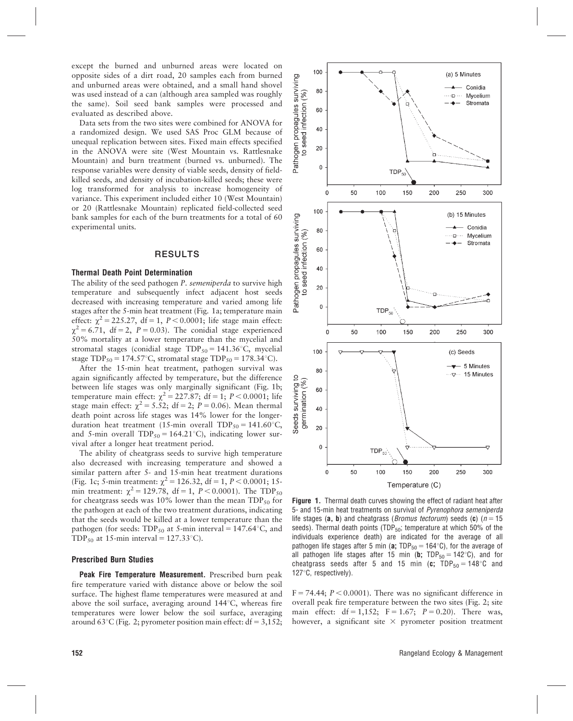except the burned and unburned areas were located on opposite sides of a dirt road, 20 samples each from burned and unburned areas were obtained, and a small hand shovel was used instead of a can (although area sampled was roughly the same). Soil seed bank samples were processed and evaluated as described above.

Data sets from the two sites were combined for ANOVA for a randomized design. We used SAS Proc GLM because of unequal replication between sites. Fixed main effects specified in the ANOVA were site (West Mountain vs. Rattlesnake Mountain) and burn treatment (burned vs. unburned). The response variables were density of viable seeds, density of fieldkilled seeds, and density of incubation-killed seeds; these were log transformed for analysis to increase homogeneity of variance. This experiment included either 10 (West Mountain) or 20 (Rattlesnake Mountain) replicated field-collected seed bank samples for each of the burn treatments for a total of 60 experimental units.

### RESULTS

#### Thermal Death Point Determination

The ability of the seed pathogen P. semeniperda to survive high temperature and subsequently infect adjacent host seeds decreased with increasing temperature and varied among life stages after the 5-min heat treatment (Fig. 1a; temperature main effect:  $\chi^2 = 225.27$ , df = 1, P < 0.0001; life stage main effect:  $\chi^2$  = 6.71, df = 2, P = 0.03). The conidial stage experienced 50% mortality at a lower temperature than the mycelial and stromatal stages (conidial stage  $TDP_{50} = 141.36^{\circ}C$ , mycelial stage TDP<sub>50</sub> = 174.57°C, stromatal stage TDP<sub>50</sub> = 178.34°C).

After the 15-min heat treatment, pathogen survival was again significantly affected by temperature, but the difference between life stages was only marginally significant (Fig. 1b; temperature main effect:  $\chi^2 = 227.87$ ; df = 1; P < 0.0001; life stage main effect:  $\chi^2 = 5.52$ ; df = 2; P = 0.06). Mean thermal death point across life stages was 14% lower for the longerduration heat treatment (15-min overall TDP<sub>50</sub> = 141.60°C, and 5-min overall  $TDP_{50} = 164.21^{\circ}C$ , indicating lower survival after a longer heat treatment period.

The ability of cheatgrass seeds to survive high temperature also decreased with increasing temperature and showed a similar pattern after 5- and 15-min heat treatment durations (Fig. 1c; 5-min treatment:  $\chi^2 = 126.32$ , df = 1, P < 0.0001; 15min treatment:  $\chi^2 = 129.78$ , df = 1, P < 0.0001). The TDP<sub>50</sub> for cheatgrass seeds was 10% lower than the mean  $TDP_{50}$  for the pathogen at each of the two treatment durations, indicating that the seeds would be killed at a lower temperature than the pathogen (for seeds: TDP<sub>50</sub> at 5-min interval = 147.64 °C, and TDP<sub>50</sub> at 15-min interval =  $127.33^{\circ}$ C).

#### Prescribed Burn Studies

Peak Fire Temperature Measurement. Prescribed burn peak fire temperature varied with distance above or below the soil surface. The highest flame temperatures were measured at and above the soil surface, averaging around  $144^{\circ}$ C, whereas fire temperatures were lower below the soil surface, averaging around 63 $\degree$ C (Fig. 2; pyrometer position main effect: df = 3,152;



Figure 1. Thermal death curves showing the effect of radiant heat after 5- and 15-min heat treatments on survival of Pyrenophora semeniperda life stages (a, b) and cheatgrass (*Bromus tectorum*) seeds (c) ( $n = 15$ seeds). Thermal death points (TDP $_{50}$ ; temperature at which 50% of the individuals experience death) are indicated for the average of all pathogen life stages after 5 min (a;  $TDP_{50} = 164^{\circ}C$ ), for the average of all pathogen life stages after 15 min (b;  $TDP_{50} = 142^{\circ}C$ ), and for cheatgrass seeds after 5 and 15 min (c;  $TDP_{50} = 148^{\circ}C$  and 127°C, respectively).

 $F = 74.44$ ;  $P < 0.0001$ ). There was no significant difference in overall peak fire temperature between the two sites (Fig. 2; site main effect:  $df = 1,152$ ;  $F = 1.67$ ;  $P = 0.20$ ). There was, however, a significant site  $\times$  pyrometer position treatment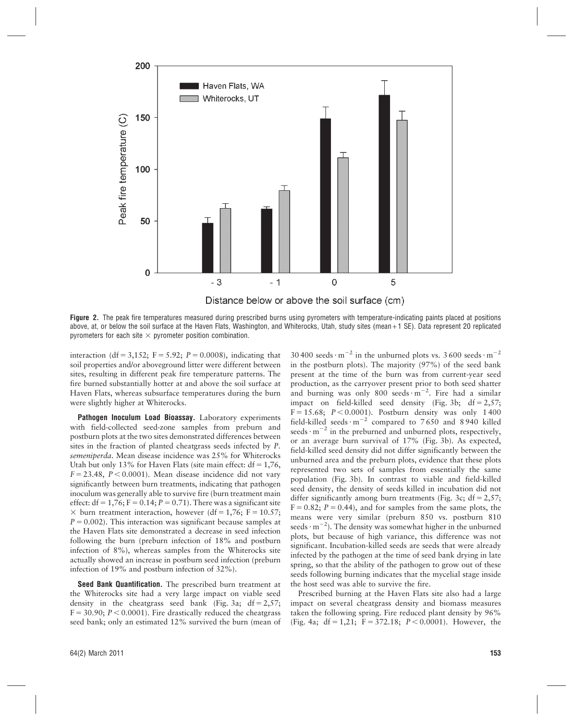

Figure 2. The peak fire temperatures measured during prescribed burns using pyrometers with temperature-indicating paints placed at positions above, at, or below the soil surface at the Haven Flats, Washington, and Whiterocks, Utah, study sites (mean + 1 SE). Data represent 20 replicated pyrometers for each site  $\times$  pyrometer position combination.

interaction (df = 3,152; F = 5.92; P = 0.0008), indicating that soil properties and/or aboveground litter were different between sites, resulting in different peak fire temperature patterns. The fire burned substantially hotter at and above the soil surface at Haven Flats, whereas subsurface temperatures during the burn were slightly higher at Whiterocks.

Pathogen Inoculum Load Bioassay. Laboratory experiments with field-collected seed-zone samples from preburn and postburn plots at the two sites demonstrated differences between sites in the fraction of planted cheatgrass seeds infected by P. semeniperda. Mean disease incidence was 25% for Whiterocks Utah but only 13% for Haven Flats (site main effect:  $df = 1,76$ ,  $F = 23.48$ ,  $P < 0.0001$ ). Mean disease incidence did not vary significantly between burn treatments, indicating that pathogen inoculum was generally able to survive fire (burn treatment main effect:  $df = 1,76$ ;  $F = 0.14$ ;  $P = 0.71$ ). There was a significant site  $\times$  burn treatment interaction, however (df = 1,76; F = 10.57;  $P = 0.002$ ). This interaction was significant because samples at the Haven Flats site demonstrated a decrease in seed infection following the burn (preburn infection of 18% and postburn infection of 8%), whereas samples from the Whiterocks site actually showed an increase in postburn seed infection (preburn infection of 19% and postburn infection of 32%).

Seed Bank Quantification. The prescribed burn treatment at the Whiterocks site had a very large impact on viable seed density in the cheatgrass seed bank (Fig. 3a;  $df = 2.57$ ;  $F = 30.90; P < 0.0001$ . Fire drastically reduced the cheatgrass seed bank; only an estimated 12% survived the burn (mean of

30 400 seeds $\cdot$  m<sup>-2</sup> in the unburned plots vs. 3 600 seeds $\cdot$  m<sup>-2</sup> in the postburn plots). The majority (97%) of the seed bank present at the time of the burn was from current-year seed production, as the carryover present prior to both seed shatter and burning was only  $800$  seeds  $m^{-2}$ . Fire had a similar impact on field-killed seed density (Fig. 3b;  $df = 2.57$ ;  $F = 15.68; P < 0.0001$ ). Postburn density was only 1400 field-killed seeds $\cdot$ m<sup>-2</sup> compared to 7650 and 8940 killed seeds  $\cdot$  m<sup>-2</sup> in the preburned and unburned plots, respectively, or an average burn survival of 17% (Fig. 3b). As expected, field-killed seed density did not differ significantly between the unburned area and the preburn plots, evidence that these plots represented two sets of samples from essentially the same population (Fig. 3b). In contrast to viable and field-killed seed density, the density of seeds killed in incubation did not differ significantly among burn treatments (Fig. 3c;  $df = 2.57$ ;  $F = 0.82$ ;  $P = 0.44$ ), and for samples from the same plots, the means were very similar (preburn 850 vs. postburn 810 seeds $\cdot$  m<sup>-2</sup>). The density was somewhat higher in the unburned plots, but because of high variance, this difference was not significant. Incubation-killed seeds are seeds that were already infected by the pathogen at the time of seed bank drying in late spring, so that the ability of the pathogen to grow out of these seeds following burning indicates that the mycelial stage inside the host seed was able to survive the fire.

Prescribed burning at the Haven Flats site also had a large impact on several cheatgrass density and biomass measures taken the following spring. Fire reduced plant density by 96% (Fig. 4a;  $df = 1,21$ ; F = 372.18; P < 0.0001). However, the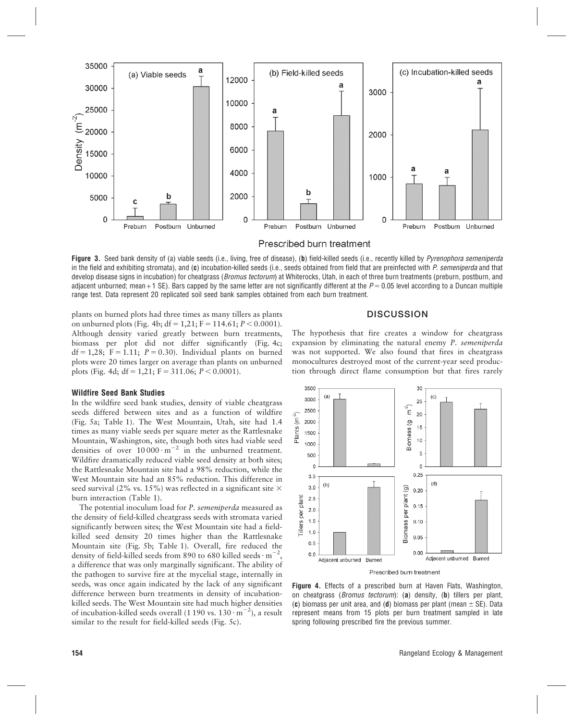

Prescribed burn treatment

Figure 3. Seed bank density of (a) viable seeds (i.e., living, free of disease), (b) field-killed seeds (i.e., recently killed by Pyrenophora semeniperda in the field and exhibiting stromata), and (c) incubation-killed seeds (i.e., seeds obtained from field that are preinfected with P. semeniperda and that develop disease signs in incubation) for cheatgrass (Bromus tectorum) at Whiterocks, Utah, in each of three burn treatments (preburn, postburn, and adjacent unburned; mean + 1 SE). Bars capped by the same letter are not significantly different at the  $P = 0.05$  level according to a Duncan multiple range test. Data represent 20 replicated soil seed bank samples obtained from each burn treatment.

plants on burned plots had three times as many tillers as plants on unburned plots (Fig. 4b;  $df = 1,21$ ; F = 114.61; P < 0.0001). Although density varied greatly between burn treatments, biomass per plot did not differ significantly (Fig. 4c;  $df = 1,28$ ; F = 1.11; P = 0.30). Individual plants on burned plots were 20 times larger on average than plants on unburned plots (Fig. 4d;  $df = 1,21$ ; F = 311.06;  $P < 0.0001$ ).

#### Wildfire Seed Bank Studies

In the wildfire seed bank studies, density of viable cheatgrass seeds differed between sites and as a function of wildfire (Fig. 5a; Table 1). The West Mountain, Utah, site had 1.4 times as many viable seeds per square meter as the Rattlesnake Mountain, Washington, site, though both sites had viable seed densities of over  $10000 \cdot m^{-2}$  in the unburned treatment. Wildfire dramatically reduced viable seed density at both sites; the Rattlesnake Mountain site had a 98% reduction, while the West Mountain site had an 85% reduction. This difference in seed survival (2% vs. 15%) was reflected in a significant site  $\times$ burn interaction (Table 1).

The potential inoculum load for P. semeniperda measured as the density of field-killed cheatgrass seeds with stromata varied significantly between sites; the West Mountain site had a fieldkilled seed density 20 times higher than the Rattlesnake Mountain site (Fig. 5b; Table 1). Overall, fire reduced the density of field-killed seeds from 890 to 680 killed seeds $\cdot$  m<sup>-2</sup>, a difference that was only marginally significant. The ability of the pathogen to survive fire at the mycelial stage, internally in seeds, was once again indicated by the lack of any significant difference between burn treatments in density of incubationkilled seeds. The West Mountain site had much higher densities of incubation-killed seeds overall (1 190 vs.  $130 \cdot m^{-2}$ ), a result similar to the result for field-killed seeds (Fig. 5c).

### **DISCUSSION**

The hypothesis that fire creates a window for cheatgrass expansion by eliminating the natural enemy P. semeniperda was not supported. We also found that fires in cheatgrass monocultures destroyed most of the current-year seed production through direct flame consumption but that fires rarely



Figure 4. Effects of a prescribed burn at Haven Flats, Washington, on cheatgrass (*Bromus tectorum*): (a) density, (b) tillers per plant, (c) biomass per unit area, and (d) biomass per plant (mean  $\pm$  SE). Data represent means from 15 plots per burn treatment sampled in late spring following prescribed fire the previous summer.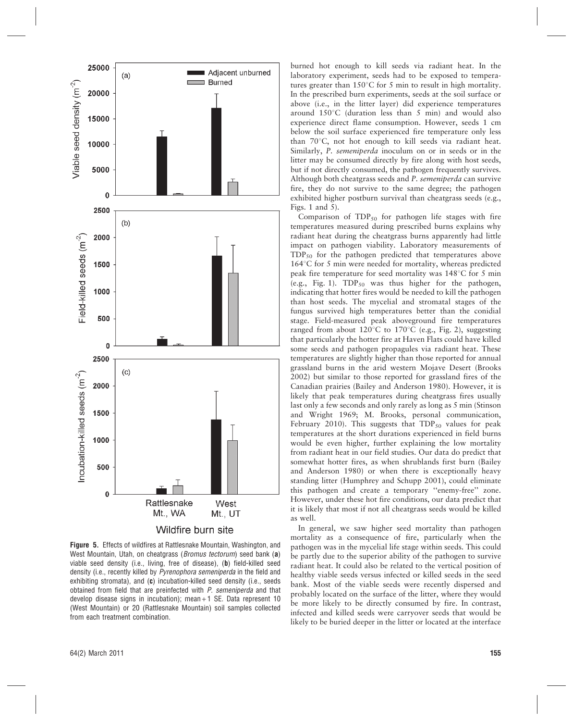

Figure 5. Effects of wildfires at Rattlesnake Mountain, Washington, and West Mountain, Utah, on cheatgrass (*Bromus tectorum*) seed bank (a) viable seed density (i.e., living, free of disease), (b) field-killed seed density (i.e., recently killed by Pyrenophora semeniperda in the field and exhibiting stromata), and (c) incubation-killed seed density (i.e., seeds obtained from field that are preinfected with P. semeniperda and that develop disease signs in incubation); mean + 1 SE. Data represent 10 (West Mountain) or 20 (Rattlesnake Mountain) soil samples collected from each treatment combination.

burned hot enough to kill seeds via radiant heat. In the laboratory experiment, seeds had to be exposed to temperatures greater than  $150^{\circ}$ C for 5 min to result in high mortality. In the prescribed burn experiments, seeds at the soil surface or above (i.e., in the litter layer) did experience temperatures around  $150^{\circ}$ C (duration less than 5 min) and would also experience direct flame consumption. However, seeds 1 cm below the soil surface experienced fire temperature only less than  $70^{\circ}$ C, not hot enough to kill seeds via radiant heat. Similarly, P. semeniperda inoculum on or in seeds or in the litter may be consumed directly by fire along with host seeds, but if not directly consumed, the pathogen frequently survives. Although both cheatgrass seeds and P. semeniperda can survive fire, they do not survive to the same degree; the pathogen exhibited higher postburn survival than cheatgrass seeds (e.g., Figs. 1 and 5).

Comparison of  $TDP_{50}$  for pathogen life stages with fire temperatures measured during prescribed burns explains why radiant heat during the cheatgrass burns apparently had little impact on pathogen viability. Laboratory measurements of TDP<sub>50</sub> for the pathogen predicted that temperatures above  $164^{\circ}$ C for 5 min were needed for mortality, whereas predicted peak fire temperature for seed mortality was  $148^{\circ}$ C for 5 min (e.g., Fig. 1).  $TDP_{50}$  was thus higher for the pathogen, indicating that hotter fires would be needed to kill the pathogen than host seeds. The mycelial and stromatal stages of the fungus survived high temperatures better than the conidial stage. Field-measured peak aboveground fire temperatures ranged from about 120 $\rm{^{\circ}C}$  to 170 $\rm{^{\circ}C}$  (e.g., Fig. 2), suggesting that particularly the hotter fire at Haven Flats could have killed some seeds and pathogen propagules via radiant heat. These temperatures are slightly higher than those reported for annual grassland burns in the arid western Mojave Desert (Brooks 2002) but similar to those reported for grassland fires of the Canadian prairies (Bailey and Anderson 1980). However, it is likely that peak temperatures during cheatgrass fires usually last only a few seconds and only rarely as long as 5 min (Stinson and Wright 1969; M. Brooks, personal communication, February 2010). This suggests that  $TDP_{50}$  values for peak temperatures at the short durations experienced in field burns would be even higher, further explaining the low mortality from radiant heat in our field studies. Our data do predict that somewhat hotter fires, as when shrublands first burn (Bailey and Anderson 1980) or when there is exceptionally heavy standing litter (Humphrey and Schupp 2001), could eliminate this pathogen and create a temporary ''enemy-free'' zone. However, under these hot fire conditions, our data predict that it is likely that most if not all cheatgrass seeds would be killed as well.

In general, we saw higher seed mortality than pathogen mortality as a consequence of fire, particularly when the pathogen was in the mycelial life stage within seeds. This could be partly due to the superior ability of the pathogen to survive radiant heat. It could also be related to the vertical position of healthy viable seeds versus infected or killed seeds in the seed bank. Most of the viable seeds were recently dispersed and probably located on the surface of the litter, where they would be more likely to be directly consumed by fire. In contrast, infected and killed seeds were carryover seeds that would be likely to be buried deeper in the litter or located at the interface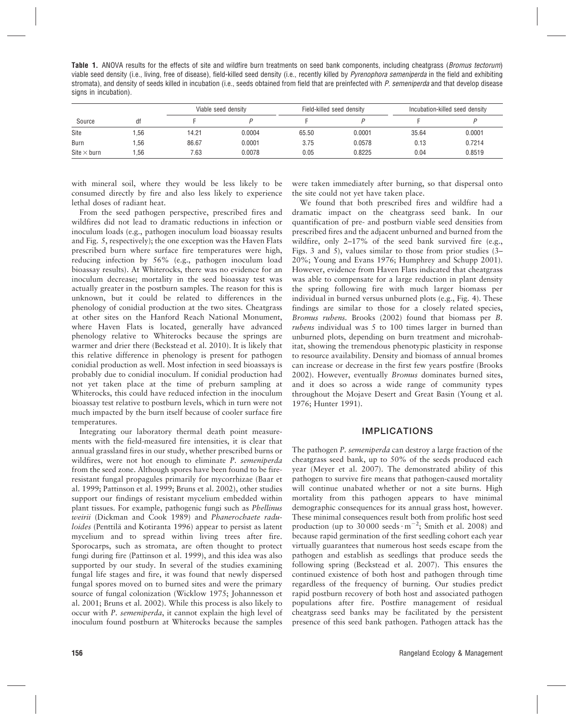Table 1. ANOVA results for the effects of site and wildfire burn treatments on seed bank components, including cheatgrass (*Bromus tectorum*) viable seed density (i.e., living, free of disease), field-killed seed density (i.e., recently killed by Pyrenophora semeniperda in the field and exhibiting stromata), and density of seeds killed in incubation (i.e., seeds obtained from field that are preinfected with P. semeniperda and that develop disease signs in incubation).

|                    |     | Viable seed density |        | Field-killed seed density |        | Incubation-killed seed density |        |
|--------------------|-----|---------------------|--------|---------------------------|--------|--------------------------------|--------|
| Source             | đt  |                     |        |                           |        |                                |        |
| Site               | .56 | 14.21               | 0.0004 | 65.50                     | 0.0001 | 35.64                          | 0.0001 |
| Burn               | .56 | 86.67               | 0.0001 | 3.75                      | 0.0578 | 0.13                           | 0.7214 |
| Site $\times$ burn | .56 | 7.63                | 0.0078 | 0.05                      | 0.8225 | 0.04                           | 0.8519 |

with mineral soil, where they would be less likely to be consumed directly by fire and also less likely to experience lethal doses of radiant heat.

From the seed pathogen perspective, prescribed fires and wildfires did not lead to dramatic reductions in infection or inoculum loads (e.g., pathogen inoculum load bioassay results and Fig. 5, respectively); the one exception was the Haven Flats prescribed burn where surface fire temperatures were high, reducing infection by 56% (e.g., pathogen inoculum load bioassay results). At Whiterocks, there was no evidence for an inoculum decrease; mortality in the seed bioassay test was actually greater in the postburn samples. The reason for this is unknown, but it could be related to differences in the phenology of conidial production at the two sites. Cheatgrass at other sites on the Hanford Reach National Monument, where Haven Flats is located, generally have advanced phenology relative to Whiterocks because the springs are warmer and drier there (Beckstead et al. 2010). It is likely that this relative difference in phenology is present for pathogen conidial production as well. Most infection in seed bioassays is probably due to conidial inoculum. If conidial production had not yet taken place at the time of preburn sampling at Whiterocks, this could have reduced infection in the inoculum bioassay test relative to postburn levels, which in turn were not much impacted by the burn itself because of cooler surface fire temperatures.

Integrating our laboratory thermal death point measurements with the field-measured fire intensities, it is clear that annual grassland fires in our study, whether prescribed burns or wildfires, were not hot enough to eliminate P. semeniperda from the seed zone. Although spores have been found to be fireresistant fungal propagules primarily for mycorrhizae (Baar et al. 1999; Pattinson et al. 1999; Bruns et al. 2002), other studies support our findings of resistant mycelium embedded within plant tissues. For example, pathogenic fungi such as Phellinus weirii (Dickman and Cook 1989) and Phanerochaete raduloides (Penttilä and Kotiranta 1996) appear to persist as latent mycelium and to spread within living trees after fire. Sporocarps, such as stromata, are often thought to protect fungi during fire (Pattinson et al. 1999), and this idea was also supported by our study. In several of the studies examining fungal life stages and fire, it was found that newly dispersed fungal spores moved on to burned sites and were the primary source of fungal colonization (Wicklow 1975; Johannesson et al. 2001; Bruns et al. 2002). While this process is also likely to occur with P. semeniperda, it cannot explain the high level of inoculum found postburn at Whiterocks because the samples were taken immediately after burning, so that dispersal onto the site could not yet have taken place.

We found that both prescribed fires and wildfire had a dramatic impact on the cheatgrass seed bank. In our quantification of pre- and postburn viable seed densities from prescribed fires and the adjacent unburned and burned from the wildfire, only 2–17% of the seed bank survived fire (e.g., Figs. 3 and 5), values similar to those from prior studies (3– 20%; Young and Evans 1976; Humphrey and Schupp 2001). However, evidence from Haven Flats indicated that cheatgrass was able to compensate for a large reduction in plant density the spring following fire with much larger biomass per individual in burned versus unburned plots (e.g., Fig. 4). These findings are similar to those for a closely related species, Bromus rubens. Brooks (2002) found that biomass per B. rubens individual was 5 to 100 times larger in burned than unburned plots, depending on burn treatment and microhabitat, showing the tremendous phenotypic plasticity in response to resource availability. Density and biomass of annual bromes can increase or decrease in the first few years postfire (Brooks 2002). However, eventually Bromus dominates burned sites, and it does so across a wide range of community types throughout the Mojave Desert and Great Basin (Young et al. 1976; Hunter 1991).

## IMPLICATIONS

The pathogen P. semeniperda can destroy a large fraction of the cheatgrass seed bank, up to 50% of the seeds produced each year (Meyer et al. 2007). The demonstrated ability of this pathogen to survive fire means that pathogen-caused mortality will continue unabated whether or not a site burns. High mortality from this pathogen appears to have minimal demographic consequences for its annual grass host, however. These minimal consequences result both from prolific host seed production (up to  $30000$  seeds  $\cdot$  m<sup>-2</sup>; Smith et al. 2008) and because rapid germination of the first seedling cohort each year virtually guarantees that numerous host seeds escape from the pathogen and establish as seedlings that produce seeds the following spring (Beckstead et al. 2007). This ensures the continued existence of both host and pathogen through time regardless of the frequency of burning. Our studies predict rapid postburn recovery of both host and associated pathogen populations after fire. Postfire management of residual cheatgrass seed banks may be facilitated by the persistent presence of this seed bank pathogen. Pathogen attack has the